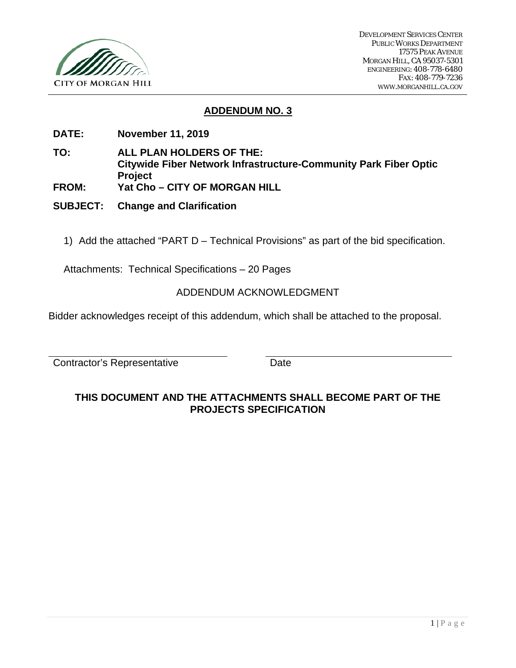

# **ADDENDUM NO. 3**

- **DATE: November 11, 2019**
- **TO: ALL PLAN HOLDERS OF THE: Citywide Fiber Network Infrastructure-Community Park Fiber Optic Project**
- **FROM: Yat Cho – CITY OF MORGAN HILL**
- **SUBJECT: Change and Clarification** 
	- 1) Add the attached "PART D Technical Provisions" as part of the bid specification.

Attachments: Technical Specifications – 20 Pages

## ADDENDUM ACKNOWLEDGMENT

Bidder acknowledges receipt of this addendum, which shall be attached to the proposal.

Contractor's Representative **Date** 

# **THIS DOCUMENT AND THE ATTACHMENTS SHALL BECOME PART OF THE PROJECTS SPECIFICATION**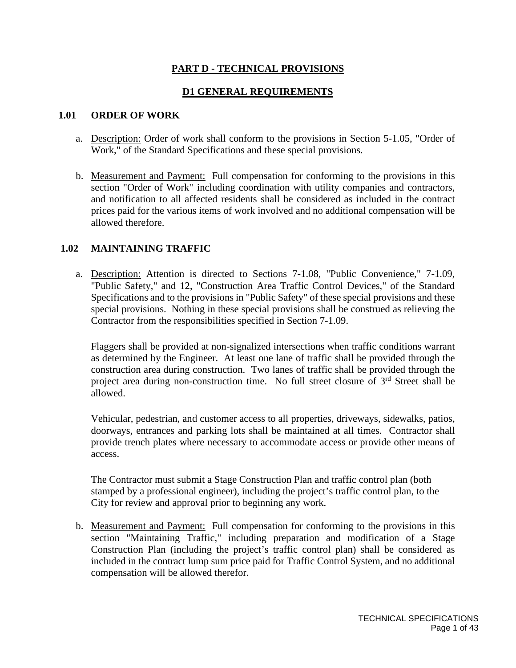# **PART D - TECHNICAL PROVISIONS**

## **D1 GENERAL REQUIREMENTS**

### **1.01 ORDER OF WORK**

- a. Description: Order of work shall conform to the provisions in Section 5-1.05, "Order of Work," of the Standard Specifications and these special provisions.
- b. Measurement and Payment: Full compensation for conforming to the provisions in this section "Order of Work" including coordination with utility companies and contractors, and notification to all affected residents shall be considered as included in the contract prices paid for the various items of work involved and no additional compensation will be allowed therefore.

## **1.02 MAINTAINING TRAFFIC**

a. Description: Attention is directed to Sections 7-1.08, "Public Convenience," 7-1.09, "Public Safety," and 12, "Construction Area Traffic Control Devices," of the Standard Specifications and to the provisions in "Public Safety" of these special provisions and these special provisions. Nothing in these special provisions shall be construed as relieving the Contractor from the responsibilities specified in Section 7-1.09.

Flaggers shall be provided at non-signalized intersections when traffic conditions warrant as determined by the Engineer. At least one lane of traffic shall be provided through the construction area during construction. Two lanes of traffic shall be provided through the project area during non-construction time. No full street closure of  $3<sup>rd</sup>$  Street shall be allowed.

Vehicular, pedestrian, and customer access to all properties, driveways, sidewalks, patios, doorways, entrances and parking lots shall be maintained at all times. Contractor shall provide trench plates where necessary to accommodate access or provide other means of access.

The Contractor must submit a Stage Construction Plan and traffic control plan (both stamped by a professional engineer), including the project's traffic control plan, to the City for review and approval prior to beginning any work.

b. Measurement and Payment: Full compensation for conforming to the provisions in this section "Maintaining Traffic," including preparation and modification of a Stage Construction Plan (including the project's traffic control plan) shall be considered as included in the contract lump sum price paid for Traffic Control System, and no additional compensation will be allowed therefor.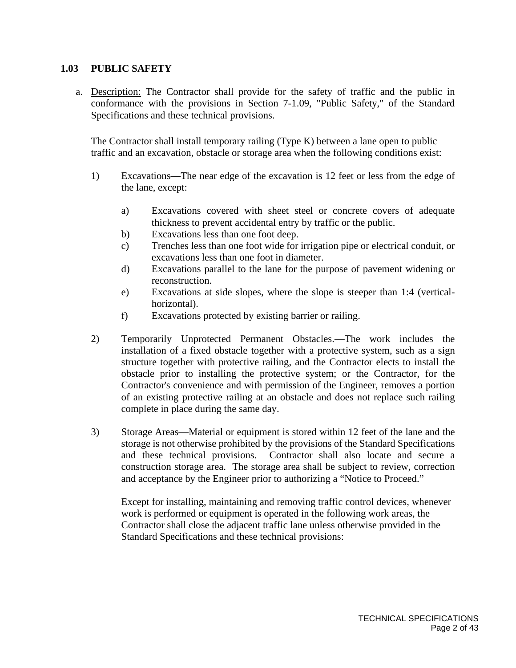### **1.03 PUBLIC SAFETY**

a. Description: The Contractor shall provide for the safety of traffic and the public in conformance with the provisions in Section 7-1.09, "Public Safety," of the Standard Specifications and these technical provisions.

The Contractor shall install temporary railing (Type K) between a lane open to public traffic and an excavation, obstacle or storage area when the following conditions exist:

- 1) Excavations**—**The near edge of the excavation is 12 feet or less from the edge of the lane, except:
	- a) Excavations covered with sheet steel or concrete covers of adequate thickness to prevent accidental entry by traffic or the public.
	- b) Excavations less than one foot deep.
	- c) Trenches less than one foot wide for irrigation pipe or electrical conduit, or excavations less than one foot in diameter.
	- d) Excavations parallel to the lane for the purpose of pavement widening or reconstruction.
	- e) Excavations at side slopes, where the slope is steeper than 1:4 (verticalhorizontal).
	- f) Excavations protected by existing barrier or railing.
- 2) Temporarily Unprotected Permanent Obstacles.—The work includes the installation of a fixed obstacle together with a protective system, such as a sign structure together with protective railing, and the Contractor elects to install the obstacle prior to installing the protective system; or the Contractor, for the Contractor's convenience and with permission of the Engineer, removes a portion of an existing protective railing at an obstacle and does not replace such railing complete in place during the same day.
- 3) Storage Areas—Material or equipment is stored within 12 feet of the lane and the storage is not otherwise prohibited by the provisions of the Standard Specifications and these technical provisions. Contractor shall also locate and secure a construction storage area. The storage area shall be subject to review, correction and acceptance by the Engineer prior to authorizing a "Notice to Proceed."

Except for installing, maintaining and removing traffic control devices, whenever work is performed or equipment is operated in the following work areas, the Contractor shall close the adjacent traffic lane unless otherwise provided in the Standard Specifications and these technical provisions: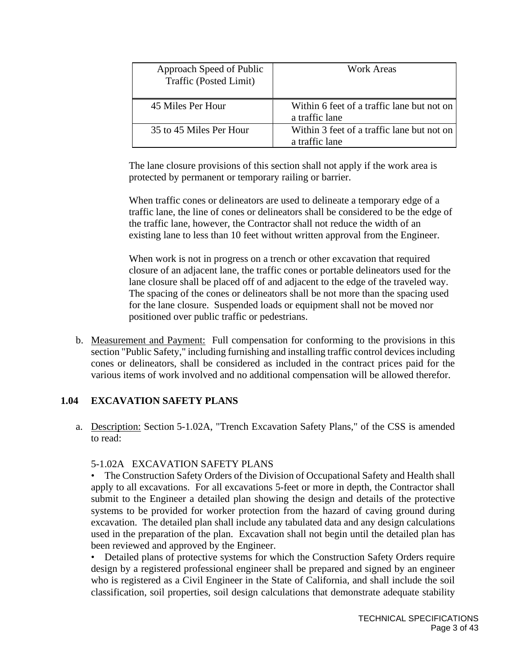| Approach Speed of Public<br>Traffic (Posted Limit) | Work Areas                                                   |
|----------------------------------------------------|--------------------------------------------------------------|
| 45 Miles Per Hour                                  | Within 6 feet of a traffic lane but not on<br>a traffic lane |
| 35 to 45 Miles Per Hour                            | Within 3 feet of a traffic lane but not on<br>a traffic lane |

The lane closure provisions of this section shall not apply if the work area is protected by permanent or temporary railing or barrier.

When traffic cones or delineators are used to delineate a temporary edge of a traffic lane, the line of cones or delineators shall be considered to be the edge of the traffic lane, however, the Contractor shall not reduce the width of an existing lane to less than 10 feet without written approval from the Engineer.

When work is not in progress on a trench or other excavation that required closure of an adjacent lane, the traffic cones or portable delineators used for the lane closure shall be placed off of and adjacent to the edge of the traveled way. The spacing of the cones or delineators shall be not more than the spacing used for the lane closure. Suspended loads or equipment shall not be moved nor positioned over public traffic or pedestrians.

b. Measurement and Payment: Full compensation for conforming to the provisions in this section "Public Safety," including furnishing and installing traffic control devices including cones or delineators, shall be considered as included in the contract prices paid for the various items of work involved and no additional compensation will be allowed therefor.

# **1.04 EXCAVATION SAFETY PLANS**

a. Description: Section 5-1.02A, "Trench Excavation Safety Plans," of the CSS is amended to read:

## 5-1.02A EXCAVATION SAFETY PLANS

• The Construction Safety Orders of the Division of Occupational Safety and Health shall apply to all excavations. For all excavations 5-feet or more in depth, the Contractor shall submit to the Engineer a detailed plan showing the design and details of the protective systems to be provided for worker protection from the hazard of caving ground during excavation. The detailed plan shall include any tabulated data and any design calculations used in the preparation of the plan. Excavation shall not begin until the detailed plan has been reviewed and approved by the Engineer.

• Detailed plans of protective systems for which the Construction Safety Orders require design by a registered professional engineer shall be prepared and signed by an engineer who is registered as a Civil Engineer in the State of California, and shall include the soil classification, soil properties, soil design calculations that demonstrate adequate stability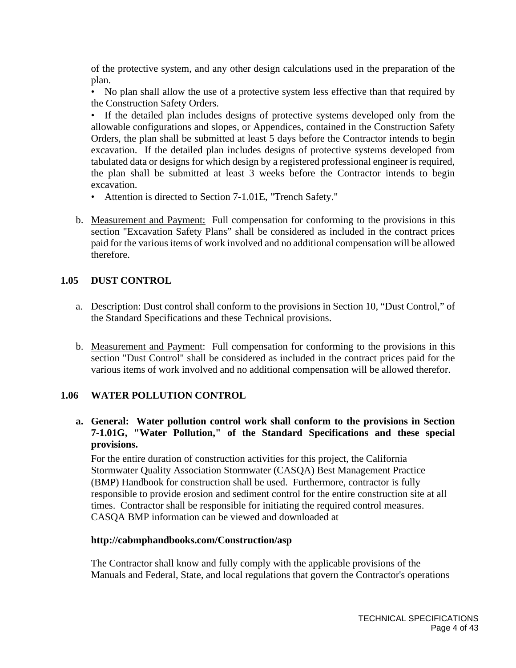of the protective system, and any other design calculations used in the preparation of the plan.

• No plan shall allow the use of a protective system less effective than that required by the Construction Safety Orders.

• If the detailed plan includes designs of protective systems developed only from the allowable configurations and slopes, or Appendices, contained in the Construction Safety Orders, the plan shall be submitted at least 5 days before the Contractor intends to begin excavation. If the detailed plan includes designs of protective systems developed from tabulated data or designs for which design by a registered professional engineer is required, the plan shall be submitted at least 3 weeks before the Contractor intends to begin excavation.

- Attention is directed to Section 7-1.01E, "Trench Safety."
- b. Measurement and Payment: Full compensation for conforming to the provisions in this section "Excavation Safety Plans" shall be considered as included in the contract prices paid for the various items of work involved and no additional compensation will be allowed therefore.

## **1.05 DUST CONTROL**

- a. Description: Dust control shall conform to the provisions in Section 10, "Dust Control," of the Standard Specifications and these Technical provisions.
- b. Measurement and Payment: Full compensation for conforming to the provisions in this section "Dust Control" shall be considered as included in the contract prices paid for the various items of work involved and no additional compensation will be allowed therefor.

## **1.06 WATER POLLUTION CONTROL**

# **a. General: Water pollution control work shall conform to the provisions in Section 7-1.01G, "Water Pollution," of the Standard Specifications and these special provisions.**

For the entire duration of construction activities for this project, the California Stormwater Quality Association Stormwater (CASQA) Best Management Practice (BMP) Handbook for construction shall be used. Furthermore, contractor is fully responsible to provide erosion and sediment control for the entire construction site at all times. Contractor shall be responsible for initiating the required control measures. CASQA BMP information can be viewed and downloaded at

## **http://cabmphandbooks.com/Construction/asp**

The Contractor shall know and fully comply with the applicable provisions of the Manuals and Federal, State, and local regulations that govern the Contractor's operations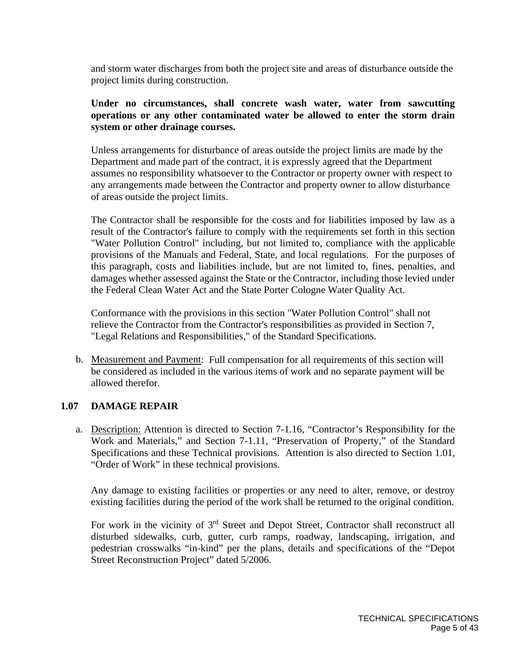and storm water discharges from both the project site and areas of disturbance outside the project limits during construction.

## **Under no circumstances, shall concrete wash water, water from sawcutting operations or any other contaminated water be allowed to enter the storm drain system or other drainage courses.**

Unless arrangements for disturbance of areas outside the project limits are made by the Department and made part of the contract, it is expressly agreed that the Department assumes no responsibility whatsoever to the Contractor or property owner with respect to any arrangements made between the Contractor and property owner to allow disturbance of areas outside the project limits.

The Contractor shall be responsible for the costs and for liabilities imposed by law as a result of the Contractor's failure to comply with the requirements set forth in this section "Water Pollution Control" including, but not limited to, compliance with the applicable provisions of the Manuals and Federal, State, and local regulations. For the purposes of this paragraph, costs and liabilities include, but are not limited to, fines, penalties, and damages whether assessed against the State or the Contractor, including those levied under the Federal Clean Water Act and the State Porter Cologne Water Quality Act.

Conformance with the provisions in this section "Water Pollution Control" shall not relieve the Contractor from the Contractor's responsibilities as provided in Section 7, "Legal Relations and Responsibilities," of the Standard Specifications.

b. Measurement and Payment: Full compensation for all requirements of this section will be considered as included in the various items of work and no separate payment will be allowed therefor.

## **1.07 DAMAGE REPAIR**

a. Description: Attention is directed to Section 7-1.16, "Contractor's Responsibility for the Work and Materials," and Section 7-1.11, "Preservation of Property," of the Standard Specifications and these Technical provisions. Attention is also directed to Section 1.01, "Order of Work" in these technical provisions.

Any damage to existing facilities or properties or any need to alter, remove, or destroy existing facilities during the period of the work shall be returned to the original condition.

For work in the vicinity of 3<sup>rd</sup> Street and Depot Street, Contractor shall reconstruct all disturbed sidewalks, curb, gutter, curb ramps, roadway, landscaping, irrigation, and pedestrian crosswalks "in-kind" per the plans, details and specifications of the "Depot Street Reconstruction Project" dated 5/2006.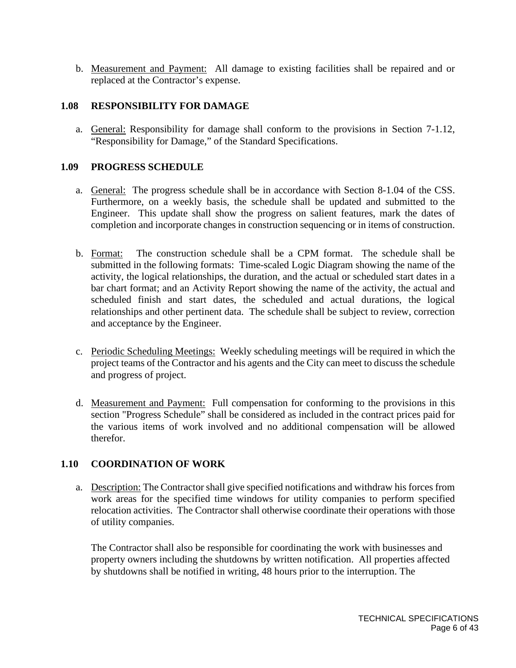b. Measurement and Payment: All damage to existing facilities shall be repaired and or replaced at the Contractor's expense.

### **1.08 RESPONSIBILITY FOR DAMAGE**

a. General: Responsibility for damage shall conform to the provisions in Section 7-1.12, "Responsibility for Damage," of the Standard Specifications.

### **1.09 PROGRESS SCHEDULE**

- a. General: The progress schedule shall be in accordance with Section 8-1.04 of the CSS. Furthermore, on a weekly basis, the schedule shall be updated and submitted to the Engineer. This update shall show the progress on salient features, mark the dates of completion and incorporate changes in construction sequencing or in items of construction.
- b. Format: The construction schedule shall be a CPM format. The schedule shall be submitted in the following formats: Time-scaled Logic Diagram showing the name of the activity, the logical relationships, the duration, and the actual or scheduled start dates in a bar chart format; and an Activity Report showing the name of the activity, the actual and scheduled finish and start dates, the scheduled and actual durations, the logical relationships and other pertinent data. The schedule shall be subject to review, correction and acceptance by the Engineer.
- c. Periodic Scheduling Meetings: Weekly scheduling meetings will be required in which the project teams of the Contractor and his agents and the City can meet to discuss the schedule and progress of project.
- d. Measurement and Payment: Full compensation for conforming to the provisions in this section "Progress Schedule" shall be considered as included in the contract prices paid for the various items of work involved and no additional compensation will be allowed therefor.

## **1.10 COORDINATION OF WORK**

a. Description: The Contractor shall give specified notifications and withdraw his forces from work areas for the specified time windows for utility companies to perform specified relocation activities. The Contractor shall otherwise coordinate their operations with those of utility companies.

The Contractor shall also be responsible for coordinating the work with businesses and property owners including the shutdowns by written notification. All properties affected by shutdowns shall be notified in writing, 48 hours prior to the interruption. The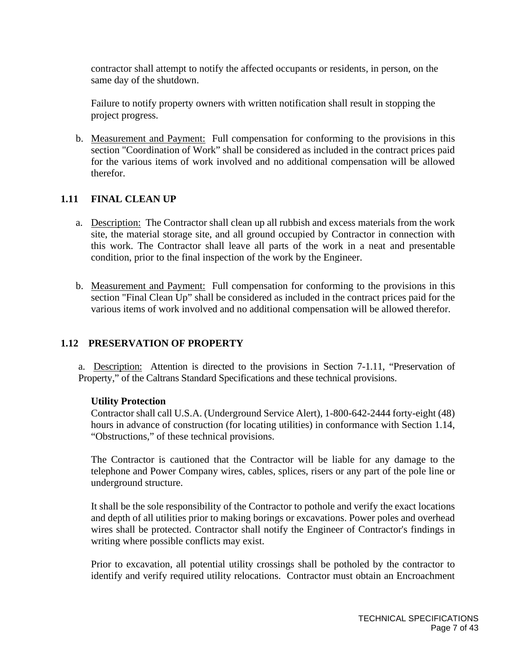contractor shall attempt to notify the affected occupants or residents, in person, on the same day of the shutdown.

Failure to notify property owners with written notification shall result in stopping the project progress.

b. Measurement and Payment: Full compensation for conforming to the provisions in this section "Coordination of Work" shall be considered as included in the contract prices paid for the various items of work involved and no additional compensation will be allowed therefor.

## **1.11 FINAL CLEAN UP**

- a. Description: The Contractor shall clean up all rubbish and excess materials from the work site, the material storage site, and all ground occupied by Contractor in connection with this work. The Contractor shall leave all parts of the work in a neat and presentable condition, prior to the final inspection of the work by the Engineer.
- b. Measurement and Payment: Full compensation for conforming to the provisions in this section "Final Clean Up" shall be considered as included in the contract prices paid for the various items of work involved and no additional compensation will be allowed therefor.

## **1.12 PRESERVATION OF PROPERTY**

a. Description: Attention is directed to the provisions in Section 7-1.11, "Preservation of Property," of the Caltrans Standard Specifications and these technical provisions.

#### **Utility Protection**

Contractor shall call U.S.A. (Underground Service Alert), 1-800-642-2444 forty-eight (48) hours in advance of construction (for locating utilities) in conformance with Section 1.14, "Obstructions," of these technical provisions.

The Contractor is cautioned that the Contractor will be liable for any damage to the telephone and Power Company wires, cables, splices, risers or any part of the pole line or underground structure.

It shall be the sole responsibility of the Contractor to pothole and verify the exact locations and depth of all utilities prior to making borings or excavations. Power poles and overhead wires shall be protected. Contractor shall notify the Engineer of Contractor's findings in writing where possible conflicts may exist.

Prior to excavation, all potential utility crossings shall be potholed by the contractor to identify and verify required utility relocations. Contractor must obtain an Encroachment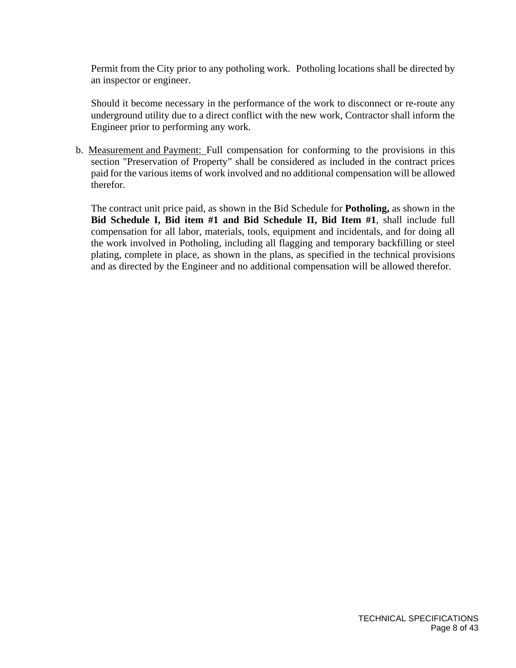Permit from the City prior to any potholing work. Potholing locations shall be directed by an inspector or engineer.

Should it become necessary in the performance of the work to disconnect or re-route any underground utility due to a direct conflict with the new work, Contractor shall inform the Engineer prior to performing any work.

b. Measurement and Payment: Full compensation for conforming to the provisions in this section "Preservation of Property" shall be considered as included in the contract prices paid for the various items of work involved and no additional compensation will be allowed therefor.

The contract unit price paid, as shown in the Bid Schedule for **Potholing,** as shown in the **Bid Schedule I, Bid item #1 and Bid Schedule II, Bid Item #1**, shall include full compensation for all labor, materials, tools, equipment and incidentals, and for doing all the work involved in Potholing, including all flagging and temporary backfilling or steel plating, complete in place, as shown in the plans, as specified in the technical provisions and as directed by the Engineer and no additional compensation will be allowed therefor.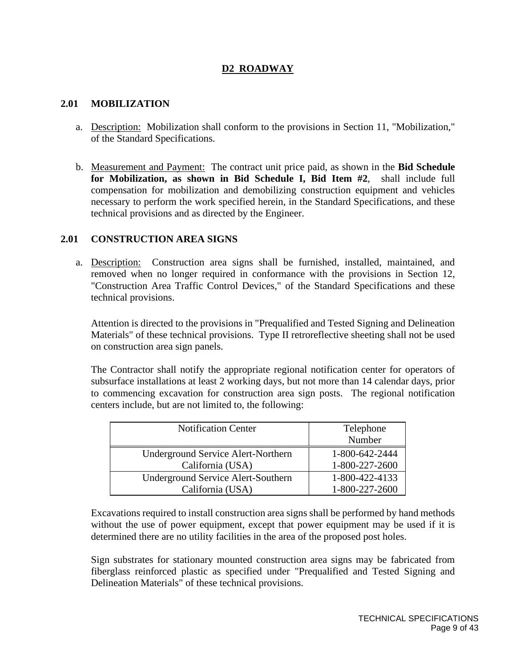# **D2 ROADWAY**

### **2.01 MOBILIZATION**

- a. Description: Mobilization shall conform to the provisions in Section 11, "Mobilization," of the Standard Specifications.
- b. Measurement and Payment: The contract unit price paid, as shown in the **Bid Schedule for Mobilization, as shown in Bid Schedule I, Bid Item #2**, shall include full compensation for mobilization and demobilizing construction equipment and vehicles necessary to perform the work specified herein, in the Standard Specifications, and these technical provisions and as directed by the Engineer.

## **2.01 CONSTRUCTION AREA SIGNS**

a. Description: Construction area signs shall be furnished, installed, maintained, and removed when no longer required in conformance with the provisions in Section 12, "Construction Area Traffic Control Devices," of the Standard Specifications and these technical provisions.

Attention is directed to the provisions in "Prequalified and Tested Signing and Delineation Materials" of these technical provisions. Type II retroreflective sheeting shall not be used on construction area sign panels.

The Contractor shall notify the appropriate regional notification center for operators of subsurface installations at least 2 working days, but not more than 14 calendar days, prior to commencing excavation for construction area sign posts. The regional notification centers include, but are not limited to, the following:

| <b>Notification Center</b>                | Telephone      |
|-------------------------------------------|----------------|
|                                           | Number         |
| Underground Service Alert-Northern        | 1-800-642-2444 |
| California (USA)                          | 1-800-227-2600 |
| <b>Underground Service Alert-Southern</b> | 1-800-422-4133 |
| California (USA)                          | 1-800-227-2600 |

Excavations required to install construction area signs shall be performed by hand methods without the use of power equipment, except that power equipment may be used if it is determined there are no utility facilities in the area of the proposed post holes.

Sign substrates for stationary mounted construction area signs may be fabricated from fiberglass reinforced plastic as specified under "Prequalified and Tested Signing and Delineation Materials" of these technical provisions.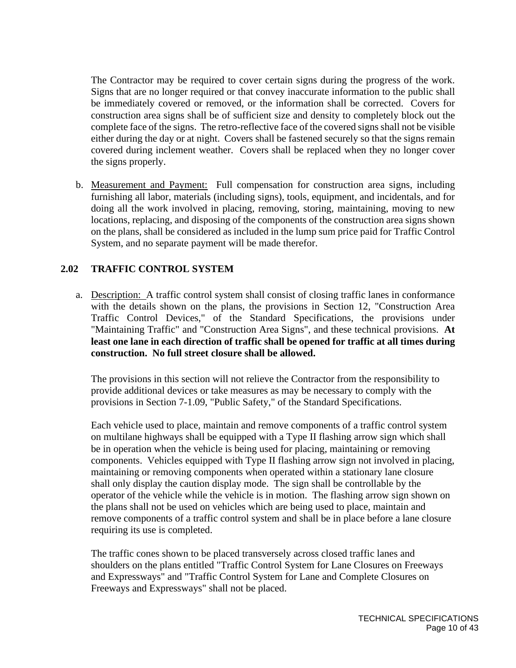The Contractor may be required to cover certain signs during the progress of the work. Signs that are no longer required or that convey inaccurate information to the public shall be immediately covered or removed, or the information shall be corrected. Covers for construction area signs shall be of sufficient size and density to completely block out the complete face of the signs. The retro-reflective face of the covered signs shall not be visible either during the day or at night. Covers shall be fastened securely so that the signs remain covered during inclement weather. Covers shall be replaced when they no longer cover the signs properly.

b. Measurement and Payment: Full compensation for construction area signs, including furnishing all labor, materials (including signs), tools, equipment, and incidentals, and for doing all the work involved in placing, removing, storing, maintaining, moving to new locations, replacing, and disposing of the components of the construction area signs shown on the plans, shall be considered as included in the lump sum price paid for Traffic Control System, and no separate payment will be made therefor.

## **2.02 TRAFFIC CONTROL SYSTEM**

a. Description: A traffic control system shall consist of closing traffic lanes in conformance with the details shown on the plans, the provisions in Section 12, "Construction Area Traffic Control Devices," of the Standard Specifications, the provisions under "Maintaining Traffic" and "Construction Area Signs", and these technical provisions. **At least one lane in each direction of traffic shall be opened for traffic at all times during construction. No full street closure shall be allowed.**

The provisions in this section will not relieve the Contractor from the responsibility to provide additional devices or take measures as may be necessary to comply with the provisions in Section 7-1.09, "Public Safety," of the Standard Specifications.

Each vehicle used to place, maintain and remove components of a traffic control system on multilane highways shall be equipped with a Type II flashing arrow sign which shall be in operation when the vehicle is being used for placing, maintaining or removing components. Vehicles equipped with Type II flashing arrow sign not involved in placing, maintaining or removing components when operated within a stationary lane closure shall only display the caution display mode. The sign shall be controllable by the operator of the vehicle while the vehicle is in motion. The flashing arrow sign shown on the plans shall not be used on vehicles which are being used to place, maintain and remove components of a traffic control system and shall be in place before a lane closure requiring its use is completed.

The traffic cones shown to be placed transversely across closed traffic lanes and shoulders on the plans entitled "Traffic Control System for Lane Closures on Freeways and Expressways" and "Traffic Control System for Lane and Complete Closures on Freeways and Expressways" shall not be placed.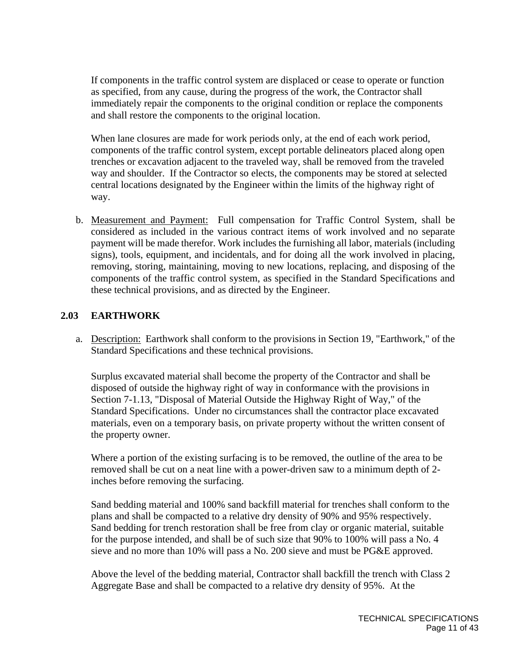If components in the traffic control system are displaced or cease to operate or function as specified, from any cause, during the progress of the work, the Contractor shall immediately repair the components to the original condition or replace the components and shall restore the components to the original location.

When lane closures are made for work periods only, at the end of each work period, components of the traffic control system, except portable delineators placed along open trenches or excavation adjacent to the traveled way, shall be removed from the traveled way and shoulder. If the Contractor so elects, the components may be stored at selected central locations designated by the Engineer within the limits of the highway right of way.

b. Measurement and Payment: Full compensation for Traffic Control System, shall be considered as included in the various contract items of work involved and no separate payment will be made therefor. Work includes the furnishing all labor, materials (including signs), tools, equipment, and incidentals, and for doing all the work involved in placing, removing, storing, maintaining, moving to new locations, replacing, and disposing of the components of the traffic control system, as specified in the Standard Specifications and these technical provisions, and as directed by the Engineer.

# **2.03 EARTHWORK**

a. Description: Earthwork shall conform to the provisions in Section 19, "Earthwork," of the Standard Specifications and these technical provisions.

Surplus excavated material shall become the property of the Contractor and shall be disposed of outside the highway right of way in conformance with the provisions in Section 7-1.13, "Disposal of Material Outside the Highway Right of Way," of the Standard Specifications. Under no circumstances shall the contractor place excavated materials, even on a temporary basis, on private property without the written consent of the property owner.

Where a portion of the existing surfacing is to be removed, the outline of the area to be removed shall be cut on a neat line with a power-driven saw to a minimum depth of 2 inches before removing the surfacing.

Sand bedding material and 100% sand backfill material for trenches shall conform to the plans and shall be compacted to a relative dry density of 90% and 95% respectively. Sand bedding for trench restoration shall be free from clay or organic material, suitable for the purpose intended, and shall be of such size that 90% to 100% will pass a No. 4 sieve and no more than 10% will pass a No. 200 sieve and must be PG&E approved.

Above the level of the bedding material, Contractor shall backfill the trench with Class 2 Aggregate Base and shall be compacted to a relative dry density of 95%. At the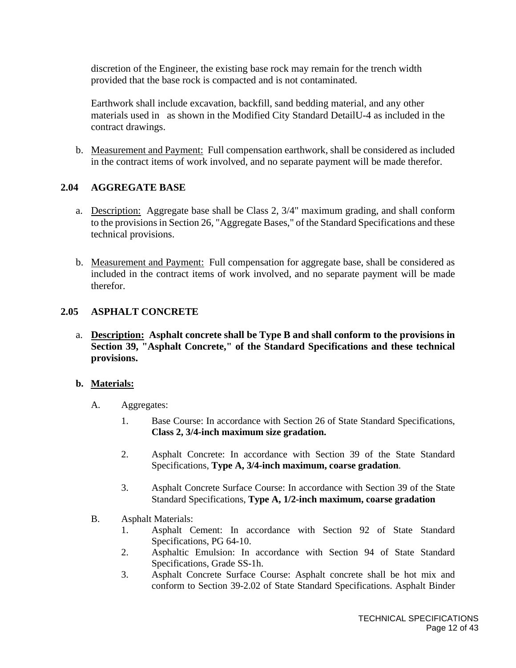discretion of the Engineer, the existing base rock may remain for the trench width provided that the base rock is compacted and is not contaminated.

Earthwork shall include excavation, backfill, sand bedding material, and any other materials used in as shown in the Modified City Standard DetailU-4 as included in the contract drawings.

b. Measurement and Payment: Full compensation earthwork, shall be considered as included in the contract items of work involved, and no separate payment will be made therefor.

### **2.04 AGGREGATE BASE**

- a. Description: Aggregate base shall be Class 2, 3/4" maximum grading, and shall conform to the provisions in Section 26, "Aggregate Bases," of the Standard Specifications and these technical provisions.
- b. Measurement and Payment: Full compensation for aggregate base, shall be considered as included in the contract items of work involved, and no separate payment will be made therefor.

#### **2.05 ASPHALT CONCRETE**

a. **Description: Asphalt concrete shall be Type B and shall conform to the provisions in Section 39, "Asphalt Concrete," of the Standard Specifications and these technical provisions.**

#### **b. Materials:**

- A. Aggregates:
	- 1. Base Course: In accordance with Section 26 of State Standard Specifications, **Class 2, 3/4-inch maximum size gradation.**
	- 2. Asphalt Concrete: In accordance with Section 39 of the State Standard Specifications, **Type A, 3/4-inch maximum, coarse gradation**.
	- 3. Asphalt Concrete Surface Course: In accordance with Section 39 of the State Standard Specifications, **Type A, 1/2-inch maximum, coarse gradation**
- B. Asphalt Materials:
	- 1. Asphalt Cement: In accordance with Section 92 of State Standard Specifications, PG 64-10.
	- 2. Asphaltic Emulsion: In accordance with Section 94 of State Standard Specifications, Grade SS-1h.
	- 3. Asphalt Concrete Surface Course: Asphalt concrete shall be hot mix and conform to Section 39-2.02 of State Standard Specifications. Asphalt Binder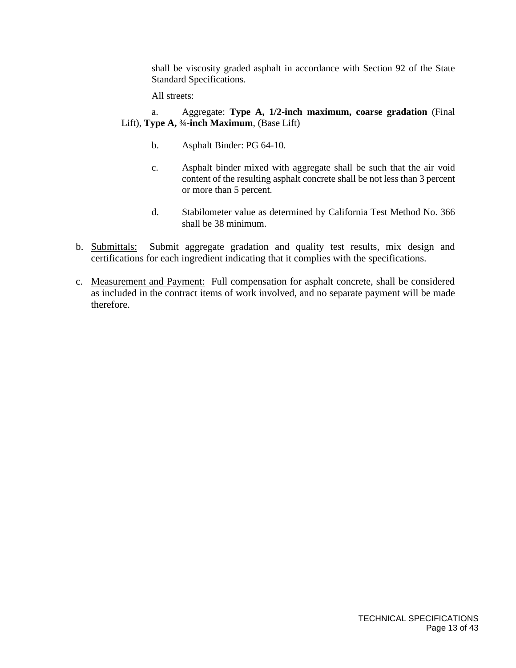shall be viscosity graded asphalt in accordance with Section 92 of the State Standard Specifications.

All streets:

### a. Aggregate: **Type A, 1/2-inch maximum, coarse gradation** (Final Lift), **Type A, ¾-inch Maximum**, (Base Lift)

- b. Asphalt Binder: PG 64-10.
- c. Asphalt binder mixed with aggregate shall be such that the air void content of the resulting asphalt concrete shall be not less than 3 percent or more than 5 percent.
- d. Stabilometer value as determined by California Test Method No. 366 shall be 38 minimum.
- b. Submittals: Submit aggregate gradation and quality test results, mix design and certifications for each ingredient indicating that it complies with the specifications.
- c. Measurement and Payment: Full compensation for asphalt concrete, shall be considered as included in the contract items of work involved, and no separate payment will be made therefore.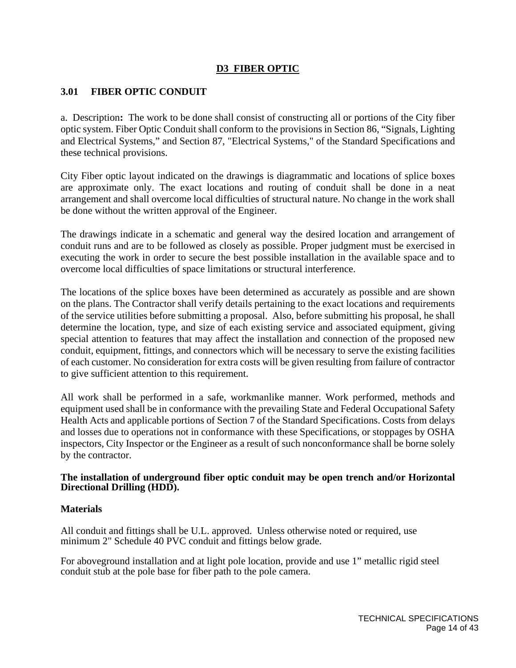# **D3 FIBER OPTIC**

# **3.01 FIBER OPTIC CONDUIT**

a. Description**:** The work to be done shall consist of constructing all or portions of the City fiber optic system. Fiber Optic Conduit shall conform to the provisions in Section 86, "Signals, Lighting and Electrical Systems," and Section 87, "Electrical Systems," of the Standard Specifications and these technical provisions.

City Fiber optic layout indicated on the drawings is diagrammatic and locations of splice boxes are approximate only. The exact locations and routing of conduit shall be done in a neat arrangement and shall overcome local difficulties of structural nature. No change in the work shall be done without the written approval of the Engineer.

The drawings indicate in a schematic and general way the desired location and arrangement of conduit runs and are to be followed as closely as possible. Proper judgment must be exercised in executing the work in order to secure the best possible installation in the available space and to overcome local difficulties of space limitations or structural interference.

The locations of the splice boxes have been determined as accurately as possible and are shown on the plans. The Contractor shall verify details pertaining to the exact locations and requirements of the service utilities before submitting a proposal. Also, before submitting his proposal, he shall determine the location, type, and size of each existing service and associated equipment, giving special attention to features that may affect the installation and connection of the proposed new conduit, equipment, fittings, and connectors which will be necessary to serve the existing facilities of each customer. No consideration for extra costs will be given resulting from failure of contractor to give sufficient attention to this requirement.

All work shall be performed in a safe, workmanlike manner. Work performed, methods and equipment used shall be in conformance with the prevailing State and Federal Occupational Safety Health Acts and applicable portions of Section 7 of the Standard Specifications. Costs from delays and losses due to operations not in conformance with these Specifications, or stoppages by OSHA inspectors, City Inspector or the Engineer as a result of such nonconformance shall be borne solely by the contractor.

## **The installation of underground fiber optic conduit may be open trench and/or Horizontal Directional Drilling (HDD).**

## **Materials**

All conduit and fittings shall be U.L. approved. Unless otherwise noted or required, use minimum 2" Schedule 40 PVC conduit and fittings below grade.

For aboveground installation and at light pole location, provide and use 1" metallic rigid steel conduit stub at the pole base for fiber path to the pole camera.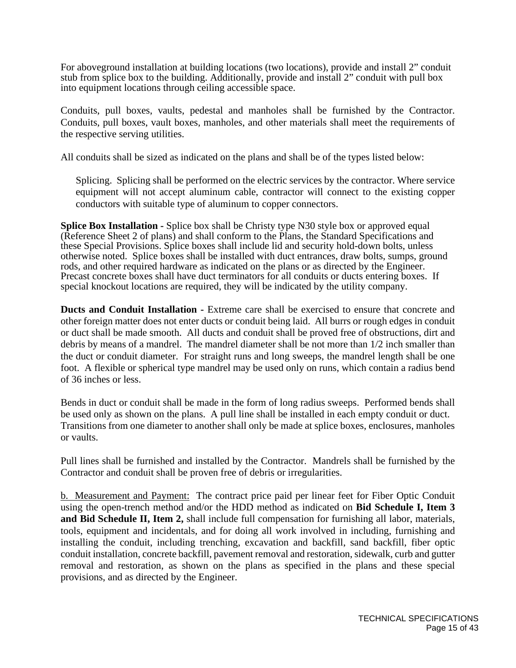For aboveground installation at building locations (two locations), provide and install 2" conduit stub from splice box to the building. Additionally, provide and install 2" conduit with pull box into equipment locations through ceiling accessible space.

Conduits, pull boxes, vaults, pedestal and manholes shall be furnished by the Contractor. Conduits, pull boxes, vault boxes, manholes, and other materials shall meet the requirements of the respective serving utilities.

All conduits shall be sized as indicated on the plans and shall be of the types listed below:

Splicing. Splicing shall be performed on the electric services by the contractor. Where service equipment will not accept aluminum cable, contractor will connect to the existing copper conductors with suitable type of aluminum to copper connectors.

**Splice Box Installation -** Splice box shall be Christy type N30 style box or approved equal (Reference Sheet 2 of plans) and shall conform to the Plans, the Standard Specifications and these Special Provisions. Splice boxes shall include lid and security hold-down bolts, unless otherwise noted. Splice boxes shall be installed with duct entrances, draw bolts, sumps, ground rods, and other required hardware as indicated on the plans or as directed by the Engineer. Precast concrete boxes shall have duct terminators for all conduits or ducts entering boxes. If special knockout locations are required, they will be indicated by the utility company.

**Ducts and Conduit Installation -** Extreme care shall be exercised to ensure that concrete and other foreign matter does not enter ducts or conduit being laid. All burrs or rough edges in conduit or duct shall be made smooth. All ducts and conduit shall be proved free of obstructions, dirt and debris by means of a mandrel. The mandrel diameter shall be not more than 1/2 inch smaller than the duct or conduit diameter. For straight runs and long sweeps, the mandrel length shall be one foot. A flexible or spherical type mandrel may be used only on runs, which contain a radius bend of 36 inches or less.

Bends in duct or conduit shall be made in the form of long radius sweeps. Performed bends shall be used only as shown on the plans. A pull line shall be installed in each empty conduit or duct. Transitions from one diameter to another shall only be made at splice boxes, enclosures, manholes or vaults.

Pull lines shall be furnished and installed by the Contractor. Mandrels shall be furnished by the Contractor and conduit shall be proven free of debris or irregularities.

b. Measurement and Payment: The contract price paid per linear feet for Fiber Optic Conduit using the open-trench method and/or the HDD method as indicated on **Bid Schedule I, Item 3 and Bid Schedule II, Item 2,** shall include full compensation for furnishing all labor, materials, tools, equipment and incidentals, and for doing all work involved in including, furnishing and installing the conduit, including trenching, excavation and backfill, sand backfill, fiber optic conduit installation, concrete backfill, pavement removal and restoration, sidewalk, curb and gutter removal and restoration, as shown on the plans as specified in the plans and these special provisions, and as directed by the Engineer.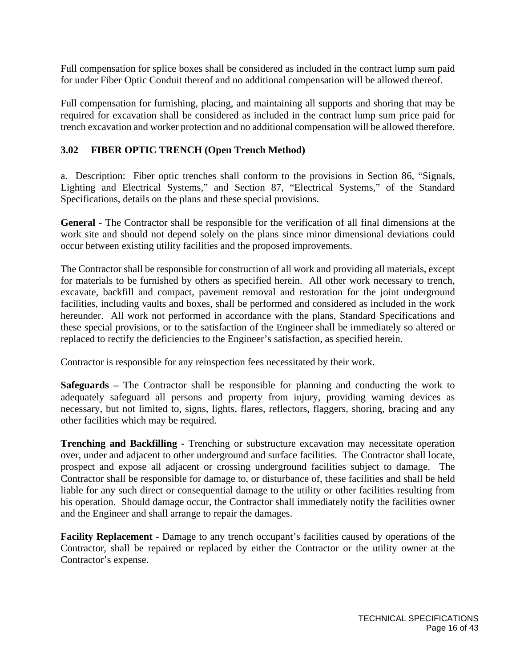Full compensation for splice boxes shall be considered as included in the contract lump sum paid for under Fiber Optic Conduit thereof and no additional compensation will be allowed thereof.

Full compensation for furnishing, placing, and maintaining all supports and shoring that may be required for excavation shall be considered as included in the contract lump sum price paid for trench excavation and worker protection and no additional compensation will be allowed therefore.

## **3.02 FIBER OPTIC TRENCH (Open Trench Method)**

a. Description: Fiber optic trenches shall conform to the provisions in Section 86, "Signals, Lighting and Electrical Systems," and Section 87, "Electrical Systems," of the Standard Specifications, details on the plans and these special provisions.

**General -** The Contractor shall be responsible for the verification of all final dimensions at the work site and should not depend solely on the plans since minor dimensional deviations could occur between existing utility facilities and the proposed improvements.

The Contractor shall be responsible for construction of all work and providing all materials, except for materials to be furnished by others as specified herein. All other work necessary to trench, excavate, backfill and compact, pavement removal and restoration for the joint underground facilities, including vaults and boxes, shall be performed and considered as included in the work hereunder. All work not performed in accordance with the plans, Standard Specifications and these special provisions, or to the satisfaction of the Engineer shall be immediately so altered or replaced to rectify the deficiencies to the Engineer's satisfaction, as specified herein.

Contractor is responsible for any reinspection fees necessitated by their work.

**Safeguards –** The Contractor shall be responsible for planning and conducting the work to adequately safeguard all persons and property from injury, providing warning devices as necessary, but not limited to, signs, lights, flares, reflectors, flaggers, shoring, bracing and any other facilities which may be required.

**Trenching and Backfilling -** Trenching or substructure excavation may necessitate operation over, under and adjacent to other underground and surface facilities. The Contractor shall locate, prospect and expose all adjacent or crossing underground facilities subject to damage. The Contractor shall be responsible for damage to, or disturbance of, these facilities and shall be held liable for any such direct or consequential damage to the utility or other facilities resulting from his operation. Should damage occur, the Contractor shall immediately notify the facilities owner and the Engineer and shall arrange to repair the damages.

**Facility Replacement -** Damage to any trench occupant's facilities caused by operations of the Contractor, shall be repaired or replaced by either the Contractor or the utility owner at the Contractor's expense.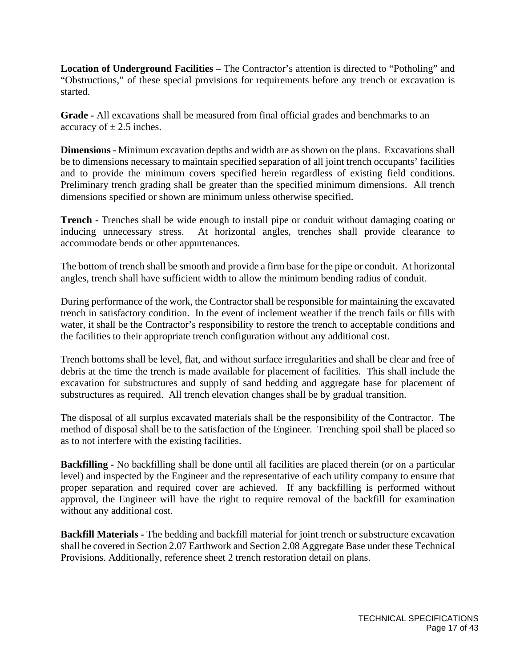**Location of Underground Facilities –** The Contractor's attention is directed to "Potholing" and "Obstructions," of these special provisions for requirements before any trench or excavation is started.

**Grade -** All excavations shall be measured from final official grades and benchmarks to an accuracy of  $\pm$  2.5 inches.

**Dimensions -** Minimum excavation depths and width are as shown on the plans. Excavations shall be to dimensions necessary to maintain specified separation of all joint trench occupants' facilities and to provide the minimum covers specified herein regardless of existing field conditions. Preliminary trench grading shall be greater than the specified minimum dimensions. All trench dimensions specified or shown are minimum unless otherwise specified.

**Trench -** Trenches shall be wide enough to install pipe or conduit without damaging coating or inducing unnecessary stress. At horizontal angles, trenches shall provide clearance to accommodate bends or other appurtenances.

The bottom of trench shall be smooth and provide a firm base for the pipe or conduit. At horizontal angles, trench shall have sufficient width to allow the minimum bending radius of conduit.

During performance of the work, the Contractor shall be responsible for maintaining the excavated trench in satisfactory condition. In the event of inclement weather if the trench fails or fills with water, it shall be the Contractor's responsibility to restore the trench to acceptable conditions and the facilities to their appropriate trench configuration without any additional cost.

Trench bottoms shall be level, flat, and without surface irregularities and shall be clear and free of debris at the time the trench is made available for placement of facilities. This shall include the excavation for substructures and supply of sand bedding and aggregate base for placement of substructures as required. All trench elevation changes shall be by gradual transition.

The disposal of all surplus excavated materials shall be the responsibility of the Contractor. The method of disposal shall be to the satisfaction of the Engineer. Trenching spoil shall be placed so as to not interfere with the existing facilities.

**Backfilling -** No backfilling shall be done until all facilities are placed therein (or on a particular level) and inspected by the Engineer and the representative of each utility company to ensure that proper separation and required cover are achieved. If any backfilling is performed without approval, the Engineer will have the right to require removal of the backfill for examination without any additional cost.

**Backfill Materials -** The bedding and backfill material for joint trench or substructure excavation shall be covered in Section 2.07 Earthwork and Section 2.08 Aggregate Base under these Technical Provisions. Additionally, reference sheet 2 trench restoration detail on plans.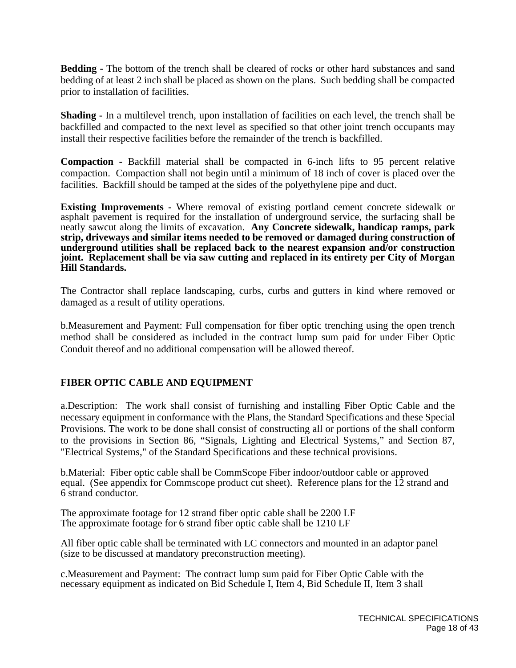**Bedding -** The bottom of the trench shall be cleared of rocks or other hard substances and sand bedding of at least 2 inch shall be placed as shown on the plans. Such bedding shall be compacted prior to installation of facilities.

**Shading -** In a multilevel trench, upon installation of facilities on each level, the trench shall be backfilled and compacted to the next level as specified so that other joint trench occupants may install their respective facilities before the remainder of the trench is backfilled.

**Compaction -** Backfill material shall be compacted in 6-inch lifts to 95 percent relative compaction. Compaction shall not begin until a minimum of 18 inch of cover is placed over the facilities. Backfill should be tamped at the sides of the polyethylene pipe and duct.

**Existing Improvements -** Where removal of existing portland cement concrete sidewalk or asphalt pavement is required for the installation of underground service, the surfacing shall be neatly sawcut along the limits of excavation. **Any Concrete sidewalk, handicap ramps, park strip, driveways and similar items needed to be removed or damaged during construction of underground utilities shall be replaced back to the nearest expansion and/or construction joint. Replacement shall be via saw cutting and replaced in its entirety per City of Morgan Hill Standards.** 

The Contractor shall replace landscaping, curbs, curbs and gutters in kind where removed or damaged as a result of utility operations.

b.Measurement and Payment: Full compensation for fiber optic trenching using the open trench method shall be considered as included in the contract lump sum paid for under Fiber Optic Conduit thereof and no additional compensation will be allowed thereof.

## **FIBER OPTIC CABLE AND EQUIPMENT**

a.Description: The work shall consist of furnishing and installing Fiber Optic Cable and the necessary equipment in conformance with the Plans, the Standard Specifications and these Special Provisions. The work to be done shall consist of constructing all or portions of the shall conform to the provisions in Section 86, "Signals, Lighting and Electrical Systems," and Section 87, "Electrical Systems," of the Standard Specifications and these technical provisions.

b.Material: Fiber optic cable shall be CommScope Fiber indoor/outdoor cable or approved equal. (See appendix for Commscope product cut sheet). Reference plans for the 12 strand and 6 strand conductor.

The approximate footage for 12 strand fiber optic cable shall be 2200 LF The approximate footage for 6 strand fiber optic cable shall be 1210 LF

All fiber optic cable shall be terminated with LC connectors and mounted in an adaptor panel (size to be discussed at mandatory preconstruction meeting).

c.Measurement and Payment: The contract lump sum paid for Fiber Optic Cable with the necessary equipment as indicated on Bid Schedule I, Item 4, Bid Schedule II, Item 3 shall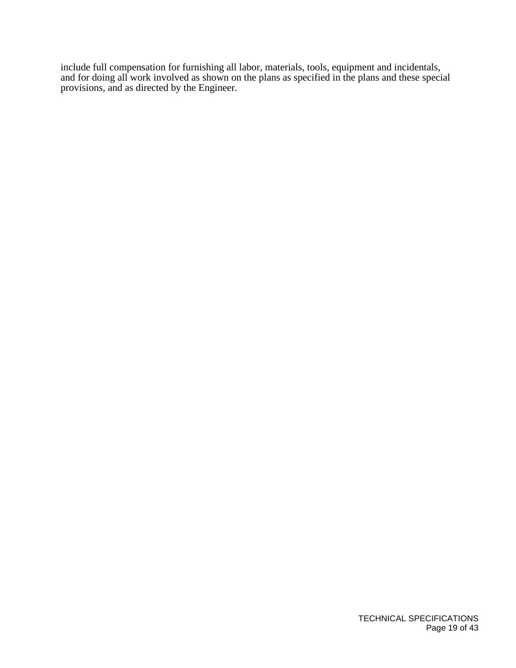include full compensation for furnishing all labor, materials, tools, equipment and incidentals, and for doing all work involved as shown on the plans as specified in the plans and these special provisions, and as directed by the Engineer.